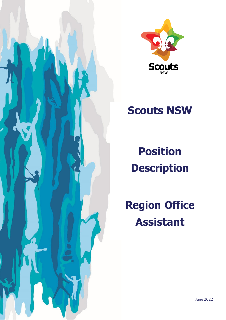



# **Scouts NSW**

**Position Description**

**Region Office Assistant**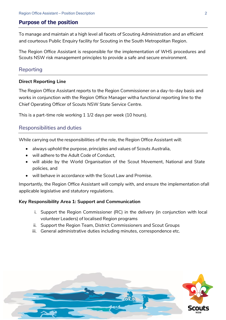## **Purpose of the position**

To manage and maintain at a high level all facets of Scouting Administration and an efficient and courteous Public Enquiry facility for Scouting in the South Metropolitan Region.

The Region Office Assistant is responsible for the implementation of WHS procedures and Scouts NSW risk management principles to provide a safe and secure environment.

## Reporting

#### **Direct Reporting Line**

The Region Office Assistant reports to the Region Commissioner on a day-to-day basis and works in conjunction with the Region Office Manager witha functional reporting line to the Chief Operating Officer of Scouts NSW State Service Centre.

This is a part-time role working 1 1/2 days per week (10 hours).

## Responsibilities and duties

While carrying out the responsibilities of the role, the Region Office Assistant will:

- always uphold the purpose, principles and values of Scouts Australia,
- will adhere to the Adult Code of Conduct,
- will abide by the World Organisation of the Scout Movement, National and State policies, and
- will behave in accordance with the Scout Law and Promise.

Importantly, the Region Office Assistant will comply with, and ensure the implementation ofall applicable legislative and statutory regulations.

#### **Key Responsibility Area 1: Support and Communication**

- i. Support the Region Commissioner (RC) in the delivery (in conjunction with local volunteer Leaders) of localised Region programs
- ii. Support the Region Team, District Commissioners and Scout Groups
- iii. General administrative duties including minutes, correspondence etc.

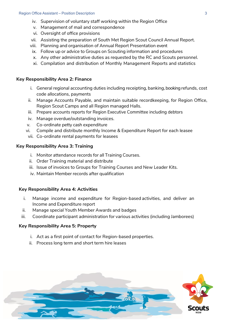- iv. Supervision of voluntary staff working within the Region Office
- v. Management of mail and correspondence
- vi. Oversight of office provisions
- vii. Assisting the preparation of South Met Region Scout Council Annual Report.
- viii. Planning and organisation of Annual Report Presentation event
- ix. Follow up or advice to Groups on Scouting information and procedures
- x. Any other administrative duties as requested by the RC and Scouts personnel.
- xi. Compilation and distribution of Monthly Management Reports and statistics

## **Key Responsibility Area 2: Finance**

- i. General regional accounting duties including receipting, banking, booking refunds, cost code allocations, payments
- ii. Manage Accounts Payable, and maintain suitable recordkeeping, for Region Office, Region Scout Camps and all Region managed Halls.
- iii. Prepare accounts reports for Region Executive Committee including debtors
- iv. Manage overdue/outstanding invoices.
- v. Co-ordinate petty cash expenditure
- vi. Compile and distribute monthly Income & Expenditure Report for each leasee
- vii. Co-ordinate rental payments for leasees

## **Key Responsibility Area 3: Training**

- i. Monitor attendance records for all Training Courses.
- ii. Order Training material and distribute
- iii. Issue of invoices to Groups for Training Courses and New Leader Kits.
- iv. Maintain Member records after qualification

## **Key Responsibility Area 4: Activities**

- i. Manage income and expenditure for Region-based activities, and deliver an Income and Expenditure report
- ii. Manage special Youth Member Awards and badges
- iii. Coordinate participant administration for various activities (including Jamborees)

## **Key Responsibility Area 5: Property**

- i. Act as a first point of contact for Region-based properties.
- ii. Process long term and short term hire leases

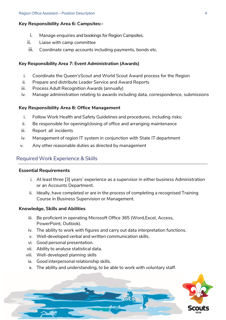#### **Key Responsibility Area 6: Campsites:-**

- i. Manage enquiries and bookings for Region Campsites.
- ii. Liaise with camp committee
- iii. Coordinate camp accounts including payments, bonds etc.

#### **Key Responsibility Area 7: Event Administration (Awards)**

- i. Coordinate the Queen's Scout and World Scout Award process for the Region
- ii. Prepare and distribute Leader Service and Award Reports
- iii. Process Adult Recognition Awards (annually)
- iv. Manage administration relating to awards including data, correspondence, submissions

#### **Key Responsibility Area 8: Office Management**

- i. Follow Work Health and Safety Guidelines and procedures, including risks;
- ii. Be responsible for opening/closing of office and arranging maintenance
- iii. Report all incidents
- iv. Management of region IT system in conjunction with State IT department
- v. Any other reasonable duties as directed by management

## Required Work Experience & Skills

#### **Essential Requirements**

- i. At least three [3] years' experience as a supervisor in either business Administration or an Accounts Department.
- ii. Ideally, have completed or are in the process of completing a recognised Training Course in Business Supervision or Management.

#### **Knowledge, Skills and Abilities**

- iii. Be proficient in operating Microsoft Office 365 (Word,Excel, Access, PowerPoint, Outlook).
- iv. The ability to work with figures and carry out data interpretation functions.
- v. Well-developed verbal and written communication skills.
- vi. Good personal presentation.
- vii. Ability to analyse statistical data.
- viii. Well-developed planning skills
- ix. Good interpersonal relationship skills.
- x. The ability and understanding, to be able to work with voluntary staff.